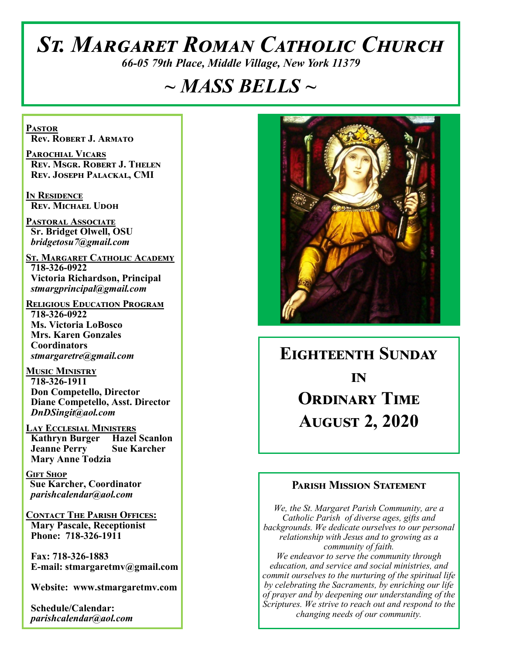# *St. Margaret Roman Catholic Church*

*66-05 79th Place, Middle Village, New York 11379*

# *~ MASS BELLS ~*

**Pastor Rev. Robert J. Armato**

**Parochial Vicars Rev. Msgr. Robert J. Thelen Rev. Joseph Palackal, CMI**

**In Residence Rev. Michael Udoh**

**Pastoral Associate Sr. Bridget Olwell, OSU**  *bridgetosu7@gmail.com*

**St. Margaret Catholic Academy 718-326-0922 Victoria Richardson, Principal**  *stmargprincipal@gmail.com*

**Religious Education Program 718-326-0922 Ms. Victoria LoBosco Mrs. Karen Gonzales Coordinators** *stmargaretre@gmail.com*

**Music Ministry 718-326-1911 Don Competello, Director Diane Competello, Asst. Director** *DnDSingit@aol.com*

**Lay Ecclesial Ministers Kathryn Burger Hazel Scanlon Jeanne Perry Sue Karcher Mary Anne Todzia**

**Gift Shop Sue Karcher, Coordinator** *parishcalendar@aol.com*

**Contact The Parish Offices: Mary Pascale, Receptionist Phone: 718-326-1911** 

 **Fax: 718-326-1883 E-mail: stmargaretmv@gmail.com**

 **Website: www.stmargaretmv.com**

 **Schedule/Calendar:** *parishcalendar@aol.com* 



# **Eighteenth Sunday in Ordinary Time August 2, 2020**

#### **Parish Mission Statement**

*We, the St. Margaret Parish Community, are a Catholic Parish of diverse ages, gifts and backgrounds. We dedicate ourselves to our personal relationship with Jesus and to growing as a community of faith. We endeavor to serve the community through education, and service and social ministries, and commit ourselves to the nurturing of the spiritual life by celebrating the Sacraments, by enriching our life of prayer and by deepening our understanding of the Scriptures. We strive to reach out and respond to the changing needs of our community.*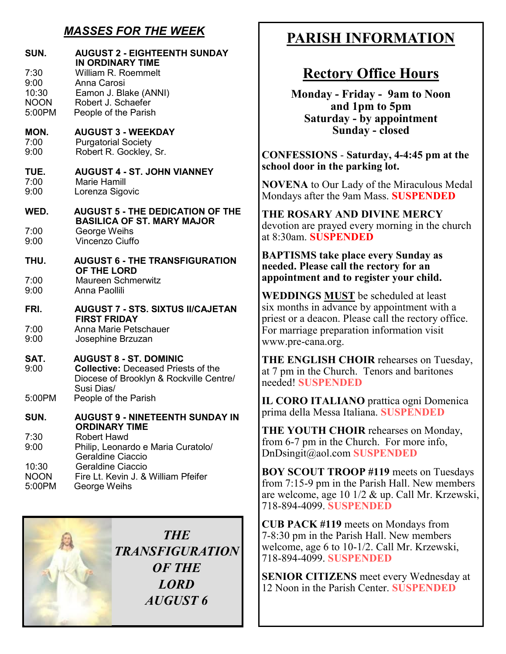# *MASSES FOR THE WEEK*

| SUN.         | <b>AUGUST 2 - EIGHTEENTH SUNDAY</b>                                                                                                  |
|--------------|--------------------------------------------------------------------------------------------------------------------------------------|
| 7:30         | <b>IN ORDINARY TIME</b>                                                                                                              |
| 9:00         | William R. Roemmelt                                                                                                                  |
| 10:30        | Anna Carosi                                                                                                                          |
| <b>NOON</b>  | Eamon J. Blake (ANNI)<br>Robert J. Schaefer                                                                                          |
| 5:00PM       | People of the Parish                                                                                                                 |
| MON.         | <b>AUGUST 3 - WEEKDAY</b>                                                                                                            |
| 7:00         | <b>Purgatorial Society</b>                                                                                                           |
| 9:00         | Robert R. Gockley, Sr.                                                                                                               |
| TUE.         | <b>AUGUST 4 - ST. JOHN VIANNEY</b>                                                                                                   |
| 7:00         | <b>Marie Hamill</b>                                                                                                                  |
| 9:00         | Lorenza Sigovic                                                                                                                      |
| WED.         | <b>AUGUST 5 - THE DEDICATION OF THE</b><br><b>BASILICA OF ST. MARY MAJOR</b>                                                         |
| 7:00         | George Weihs                                                                                                                         |
| 9:00         | <b>Vincenzo Ciuffo</b>                                                                                                               |
| THU.         | <b>AUGUST 6 - THE TRANSFIGURATION</b><br>OF THE LORD                                                                                 |
| 7:00         | <b>Maureen Schmerwitz</b>                                                                                                            |
| 9:00         | Anna Paollili                                                                                                                        |
| FRI.         | <b>AUGUST 7 - STS. SIXTUS II/CAJETAN</b><br><b>FIRST FRIDAY</b>                                                                      |
| 7:00         | Anna Marie Petschauer                                                                                                                |
| 9:00         | Josephine Brzuzan                                                                                                                    |
| SAT.<br>9:00 | <b>AUGUST 8 - ST. DOMINIC</b><br><b>Collective: Deceased Priests of the</b><br>Diocese of Brooklyn & Rockville Centre/<br>Susi Dias/ |
| 5:00PM       | People of the Parish                                                                                                                 |
| SUN.         | <b>AUGUST 9 - NINETEENTH SUNDAY IN</b><br><b>ORDINARY TIME</b>                                                                       |
| 7:30<br>9:00 | <b>Robert Hawd</b><br>Philip, Leonardo e Maria Curatolo/<br><b>Geraldine Ciaccio</b>                                                 |
| 10:30        | Geraldine Ciaccio                                                                                                                    |
| <b>NOON</b>  | Fire Lt. Kevin J. & William Pfeifer                                                                                                  |
| 5:00PM       | George Weihs                                                                                                                         |

*THE TRANSFIGURATION OF THE LORD AUGUST 6*

# **PARISH INFORMATION**

# **Rectory Office Hours**

**Monday - Friday - 9am to Noon and 1pm to 5pm Saturday - by appointment Sunday - closed**

**CONFESSIONS** - **Saturday, 4-4:45 pm at the school door in the parking lot.**

**NOVENA** to Our Lady of the Miraculous Medal Mondays after the 9am Mass. **SUSPENDED**

**THE ROSARY AND DIVINE MERCY** devotion are prayed every morning in the church at 8:30am. **SUSPENDED**

**BAPTISMS take place every Sunday as needed. Please call the rectory for an appointment and to register your child.** 

**WEDDINGS MUST** be scheduled at least six months in advance by appointment with a priest or a deacon. Please call the rectory office. For marriage preparation information visit www.pre-cana.org.

**THE ENGLISH CHOIR** rehearses on Tuesday, at 7 pm in the Church. Tenors and baritones needed! **SUSPENDED**

**IL CORO ITALIANO** prattica ogni Domenica prima della Messa Italiana. **SUSPENDED**

**THE YOUTH CHOIR** rehearses on Monday, from 6-7 pm in the Church. For more info, DnDsingit@aol.com **SUSPENDED**

**BOY SCOUT TROOP #119** meets on Tuesdays from 7:15-9 pm in the Parish Hall. New members are welcome, age 10 1/2 & up. Call Mr. Krzewski, 718-894-4099. **SUSPENDED**

**CUB PACK #119** meets on Mondays from 7-8:30 pm in the Parish Hall. New members welcome, age 6 to 10-1/2. Call Mr. Krzewski, 718-894-4099. **SUSPENDED**

**SENIOR CITIZENS** meet every Wednesday at 12 Noon in the Parish Center. **SUSPENDED**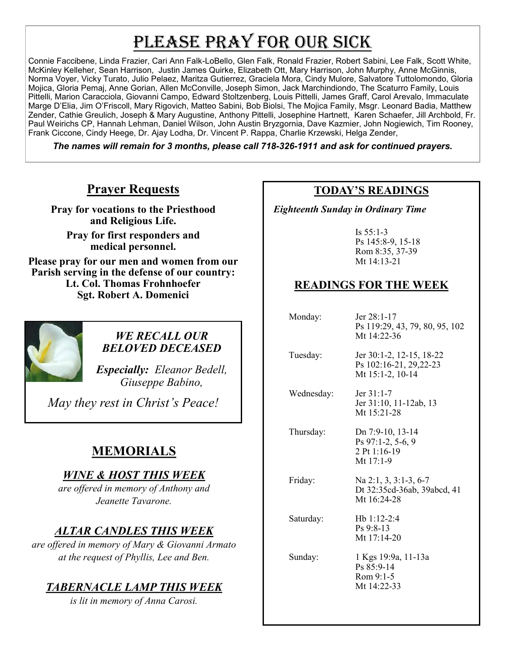# PLEASE PRAY FOR OUR SICK

Connie Faccibene, Linda Frazier, Cari Ann Falk-LoBello, Glen Falk, Ronald Frazier, Robert Sabini, Lee Falk, Scott White, McKinley Kelleher, Sean Harrison, Justin James Quirke, Elizabeth Ott, Mary Harrison, John Murphy, Anne McGinnis, Norma Voyer, Vicky Turato, Julio Pelaez, Maritza Gutierrez, Graciela Mora, Cindy Mulore, Salvatore Tuttolomondo, Gloria Mojica, Gloria Pemaj, Anne Gorian, Allen McConville, Joseph Simon, Jack Marchindiondo, The Scaturro Family, Louis Pittelli, Marion Caracciola, Giovanni Campo, Edward Stoltzenberg, Louis Pittelli, James Graff, Carol Arevalo, Immaculate Marge D'Elia, Jim O'Friscoll, Mary Rigovich, Matteo Sabini, Bob Biolsi, The Mojica Family, Msgr. Leonard Badia, Matthew Zender, Cathie Greulich, Joseph & Mary Augustine, Anthony Pittelli, Josephine Hartnett, Karen Schaefer, Jill Archbold, Fr. Paul Weirichs CP, Hannah Lehman, Daniel Wilson, John Austin Bryzgornia, Dave Kazmier, John Nogiewich, Tim Rooney, Frank Ciccone, Cindy Heege, Dr. Ajay Lodha, Dr. Vincent P. Rappa, Charlie Krzewski, Helga Zender,

*The names will remain for 3 months, please call 718-326-1911 and ask for continued prayers.*

### **Prayer Requests**

**Pray for vocations to the Priesthood and Religious Life.** 

**Pray for first responders and medical personnel.**

**Please pray for our men and women from our Parish serving in the defense of our country: Lt. Col. Thomas Frohnhoefer Sgt. Robert A. Domenici** 



#### *WE RECALL OUR BELOVED DECEASED*

*Especially: Eleanor Bedell, Giuseppe Babino,* 

*May they rest in Christ's Peace!*

# **MEMORIALS**

#### *WINE & HOST THIS WEEK*

*are offered in memory of Anthony and Jeanette Tavarone.*

# *ALTAR CANDLES THIS WEEK*

*are offered in memory of Mary & Giovanni Armato at the request of Phyllis, Lee and Ben.*

# *TABERNACLE LAMP THIS WEEK*

*is lit in memory of Anna Carosi.* 

#### **TODAY'S READINGS**

 *Eighteenth Sunday in Ordinary Time*

Is 55:1-3 Ps 145:8-9, 15-18 Rom 8:35, 37-39 Mt 14:13-21

## **READINGS FOR THE WEEK**

| Monday:    | $\text{Jer } 28:1-17$<br>Ps 119:29, 43, 79, 80, 95, 102<br>Mt 14:22-36 |
|------------|------------------------------------------------------------------------|
| Tuesday:   | Jer 30:1-2, 12-15, 18-22<br>Ps 102:16-21, 29,22-23<br>Mt 15:1-2, 10-14 |
| Wednesday: | Jer 31:1-7<br>Jer 31:10, 11-12ab, 13<br>Mt 15:21-28                    |
| Thursday:  | Dn 7:9-10, 13-14<br>Ps 97:1-2, 5-6, 9<br>2 Pt 1:16-19<br>Mt 17:1-9     |
| Friday:    | Na $2:1, 3, 3:1-3, 6-7$<br>Dt 32:35cd-36ab, 39abcd, 41<br>Mt 16:24-28  |
| Saturday:  | $Hb 1:12-2:4$<br>$Ps\,9:8-13$<br>Mt 17:14-20                           |
| Sunday:    | 1 Kgs 19:9a, 11-13a<br>Ps 85:9-14<br>Rom 9:1-5<br>Mt 14:22-33          |
|            |                                                                        |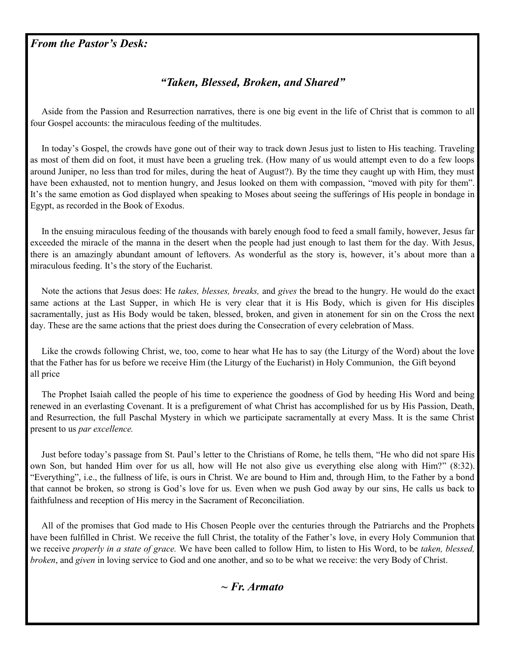#### *From the Pastor's Desk:*

#### *"Taken, Blessed, Broken, and Shared"*

 Aside from the Passion and Resurrection narratives, there is one big event in the life of Christ that is common to all four Gospel accounts: the miraculous feeding of the multitudes.

 In today's Gospel, the crowds have gone out of their way to track down Jesus just to listen to His teaching. Traveling as most of them did on foot, it must have been a grueling trek. (How many of us would attempt even to do a few loops around Juniper, no less than trod for miles, during the heat of August?). By the time they caught up with Him, they must have been exhausted, not to mention hungry, and Jesus looked on them with compassion, "moved with pity for them". It's the same emotion as God displayed when speaking to Moses about seeing the sufferings of His people in bondage in Egypt, as recorded in the Book of Exodus.

 In the ensuing miraculous feeding of the thousands with barely enough food to feed a small family, however, Jesus far exceeded the miracle of the manna in the desert when the people had just enough to last them for the day. With Jesus, there is an amazingly abundant amount of leftovers. As wonderful as the story is, however, it's about more than a miraculous feeding. It's the story of the Eucharist.

 Note the actions that Jesus does: He *takes, blesses, breaks,* and *gives* the bread to the hungry. He would do the exact same actions at the Last Supper, in which He is very clear that it is His Body, which is given for His disciples sacramentally, just as His Body would be taken, blessed, broken, and given in atonement for sin on the Cross the next day. These are the same actions that the priest does during the Consecration of every celebration of Mass.

 Like the crowds following Christ, we, too, come to hear what He has to say (the Liturgy of the Word) about the love that the Father has for us before we receive Him (the Liturgy of the Eucharist) in Holy Communion, the Gift beyond all price

 The Prophet Isaiah called the people of his time to experience the goodness of God by heeding His Word and being renewed in an everlasting Covenant. It is a prefigurement of what Christ has accomplished for us by His Passion, Death, and Resurrection, the full Paschal Mystery in which we participate sacramentally at every Mass. It is the same Christ present to us *par excellence.*

 Just before today's passage from St. Paul's letter to the Christians of Rome, he tells them, "He who did not spare His own Son, but handed Him over for us all, how will He not also give us everything else along with Him?" (8:32). "Everything", i.e., the fullness of life, is ours in Christ. We are bound to Him and, through Him, to the Father by a bond that cannot be broken, so strong is God's love for us. Even when we push God away by our sins, He calls us back to faithfulness and reception of His mercy in the Sacrament of Reconciliation.

 All of the promises that God made to His Chosen People over the centuries through the Patriarchs and the Prophets have been fulfilled in Christ. We receive the full Christ, the totality of the Father's love, in every Holy Communion that we receive *properly in a state of grace.* We have been called to follow Him, to listen to His Word, to be *taken, blessed, broken*, and *given* in loving service to God and one another, and so to be what we receive: the very Body of Christ.

*~ Fr. Armato*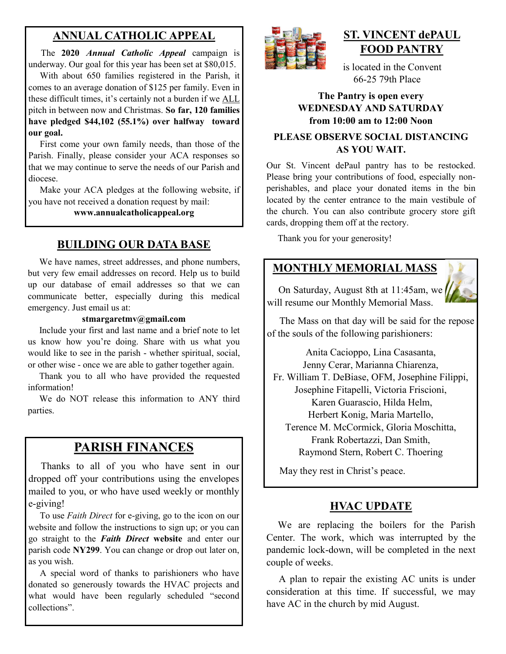#### **ANNUAL CATHOLIC APPEAL**

 The **2020** *Annual Catholic Appeal* campaign is underway. Our goal for this year has been set at \$80,015.

 With about 650 families registered in the Parish, it comes to an average donation of \$125 per family. Even in these difficult times, it's certainly not a burden if we ALL pitch in between now and Christmas. **So far, 120 families have pledged \$44,102 (55.1%) over halfway toward our goal.**

 First come your own family needs, than those of the Parish. Finally, please consider your ACA responses so that we may continue to serve the needs of our Parish and diocese.

 Make your ACA pledges at the following website, if you have not received a donation request by mail:

**www.annualcatholicappeal.org** 

### **BUILDING OUR DATA BASE**

 We have names, street addresses, and phone numbers, but very few email addresses on record. Help us to build up our database of email addresses so that we can communicate better, especially during this medical emergency. Just email us at:

#### **stmargaretmv@gmail.com**

 Include your first and last name and a brief note to let us know how you're doing. Share with us what you would like to see in the parish - whether spiritual, social, or other wise - once we are able to gather together again.

 Thank you to all who have provided the requested information!

 We do NOT release this information to ANY third parties.

# **PARISH FINANCES**

 Thanks to all of you who have sent in our dropped off your contributions using the envelopes mailed to you, or who have used weekly or monthly e-giving!

To use *Faith Direct* for e-giving, go to the icon on our website and follow the instructions to sign up; or you can go straight to the *Faith Direct* **website** and enter our parish code **NY299**. You can change or drop out later on, as you wish.

 A special word of thanks to parishioners who have donated so generously towards the HVAC projects and what would have been regularly scheduled "second collections".



## **ST. VINCENT dePAUL FOOD PANTRY**

 is located in the Convent 66-25 79th Place

#### **The Pantry is open every WEDNESDAY AND SATURDAY from 10:00 am to 12:00 Noon**

#### **PLEASE OBSERVE SOCIAL DISTANCING AS YOU WAIT.**

Our St. Vincent dePaul pantry has to be restocked. Please bring your contributions of food, especially nonperishables, and place your donated items in the bin located by the center entrance to the main vestibule of the church. You can also contribute grocery store gift cards, dropping them off at the rectory.

Thank you for your generosity!

### **MONTHLY MEMORIAL MASS**

 On Saturday, August 8th at 11:45am, we will resume our Monthly Memorial Mass.



 The Mass on that day will be said for the repose of the souls of the following parishioners:

Anita Cacioppo, Lina Casasanta, Jenny Cerar, Marianna Chiarenza, Fr. William T. DeBiase, OFM, Josephine Filippi, Josephine Fitapelli, Victoria Friscioni, Karen Guarascio, Hilda Helm, Herbert Konig, Maria Martello, Terence M. McCormick, Gloria Moschitta, Frank Robertazzi, Dan Smith, Raymond Stern, Robert C. Thoering

May they rest in Christ's peace.

#### **HVAC UPDATE**

 We are replacing the boilers for the Parish Center. The work, which was interrupted by the pandemic lock-down, will be completed in the next couple of weeks.

 A plan to repair the existing AC units is under consideration at this time. If successful, we may have AC in the church by mid August.